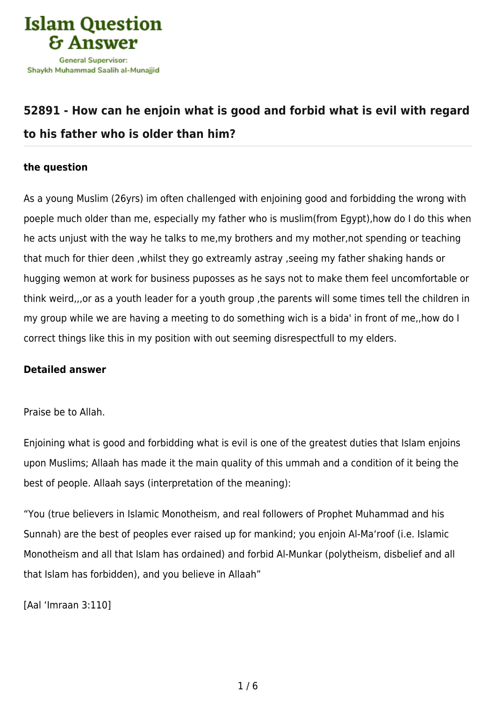

## **[52891 - How can he enjoin what is good and forbid what is evil with regard](https://islamqa.info/en/answers/52891/how-can-he-enjoin-what-is-good-and-forbid-what-is-evil-with-regard-to-his-father-who-is-older-than-him) [to his father who is older than him?](https://islamqa.info/en/answers/52891/how-can-he-enjoin-what-is-good-and-forbid-what-is-evil-with-regard-to-his-father-who-is-older-than-him)**

## **the question**

As a young Muslim (26yrs) im often challenged with enjoining good and forbidding the wrong with poeple much older than me, especially my father who is muslim(from Egypt),how do I do this when he acts unjust with the way he talks to me,my brothers and my mother,not spending or teaching that much for thier deen ,whilst they go extreamly astray ,seeing my father shaking hands or hugging wemon at work for business puposses as he says not to make them feel uncomfortable or think weird,,,or as a youth leader for a youth group ,the parents will some times tell the children in my group while we are having a meeting to do something wich is a bida' in front of me,,how do I correct things like this in my position with out seeming disrespectfull to my elders.

## **Detailed answer**

Praise be to Allah.

Enjoining what is good and forbidding what is evil is one of the greatest duties that Islam enjoins upon Muslims; Allaah has made it the main quality of this ummah and a condition of it being the best of people. Allaah says (interpretation of the meaning):

"You (true believers in Islamic Monotheism, and real followers of Prophet Muhammad and his Sunnah) are the best of peoples ever raised up for mankind; you enjoin Al-Ma'roof (i.e. Islamic Monotheism and all that Islam has ordained) and forbid Al‑Munkar (polytheism, disbelief and all that Islam has forbidden), and you believe in Allaah"

[Aal 'Imraan 3:110]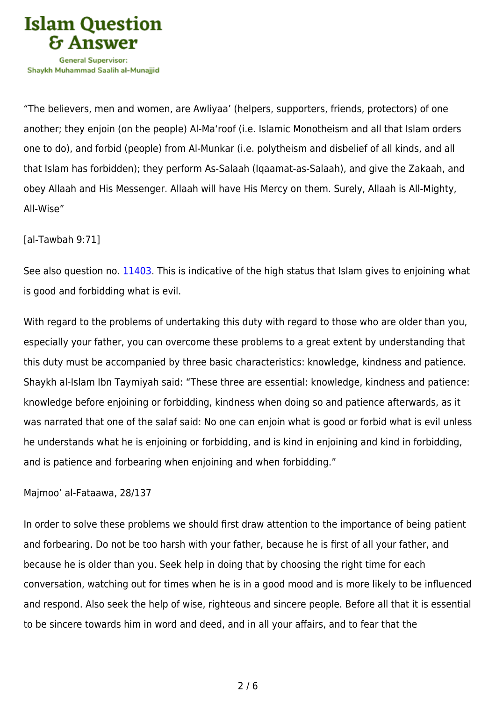

"The believers, men and women, are Awliyaa' (helpers, supporters, friends, protectors) of one another; they enjoin (on the people) Al-Ma'roof (i.e. Islamic Monotheism and all that Islam orders one to do), and forbid (people) from Al‑Munkar (i.e. polytheism and disbelief of all kinds, and all that Islam has forbidden); they perform As-Salaah (Iqaamat-as-Salaah), and give the Zakaah, and obey Allaah and His Messenger. Allaah will have His Mercy on them. Surely, Allaah is All-Mighty, All-Wise"

[al-Tawbah 9:71]

See also question no. [11403.](https://islamqa.info/en/answers/11403) This is indicative of the high status that Islam gives to enjoining what is good and forbidding what is evil.

With regard to the problems of undertaking this duty with regard to those who are older than you, especially your father, you can overcome these problems to a great extent by understanding that this duty must be accompanied by three basic characteristics: knowledge, kindness and patience. Shaykh al-Islam Ibn Taymiyah said: "These three are essential: knowledge, kindness and patience: knowledge before enjoining or forbidding, kindness when doing so and patience afterwards, as it was narrated that one of the salaf said: No one can enjoin what is good or forbid what is evil unless he understands what he is enjoining or forbidding, and is kind in enjoining and kind in forbidding, and is patience and forbearing when enjoining and when forbidding."

Majmoo' al-Fataawa, 28/137

In order to solve these problems we should first draw attention to the importance of being patient and forbearing. Do not be too harsh with your father, because he is first of all your father, and because he is older than you. Seek help in doing that by choosing the right time for each conversation, watching out for times when he is in a good mood and is more likely to be influenced and respond. Also seek the help of wise, righteous and sincere people. Before all that it is essential to be sincere towards him in word and deed, and in all your affairs, and to fear that the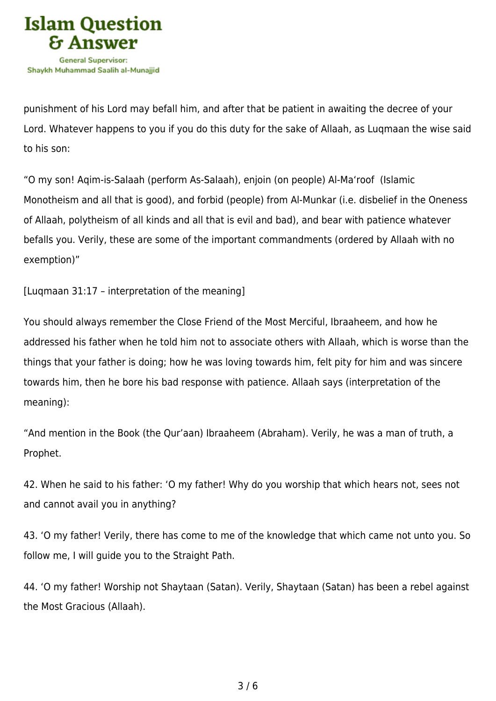

punishment of his Lord may befall him, and after that be patient in awaiting the decree of your Lord. Whatever happens to you if you do this duty for the sake of Allaah, as Luqmaan the wise said to his son:

"O my son! Aqim‑is‑Salaah (perform As‑Salaah), enjoin (on people) Al‑Ma'roof (Islamic Monotheism and all that is good), and forbid (people) from Al‑Munkar (i.e. disbelief in the Oneness of Allaah, polytheism of all kinds and all that is evil and bad), and bear with patience whatever befalls you. Verily, these are some of the important commandments (ordered by Allaah with no exemption)"

[Luqmaan 31:17 – interpretation of the meaning]

You should always remember the Close Friend of the Most Merciful, Ibraaheem, and how he addressed his father when he told him not to associate others with Allaah, which is worse than the things that your father is doing; how he was loving towards him, felt pity for him and was sincere towards him, then he bore his bad response with patience. Allaah says (interpretation of the meaning):

"And mention in the Book (the Qur'aan) Ibraaheem (Abraham). Verily, he was a man of truth, a Prophet.

42. When he said to his father: 'O my father! Why do you worship that which hears not, sees not and cannot avail you in anything?

43. 'O my father! Verily, there has come to me of the knowledge that which came not unto you. So follow me, I will guide you to the Straight Path.

44. 'O my father! Worship not Shaytaan (Satan). Verily, Shaytaan (Satan) has been a rebel against the Most Gracious (Allaah).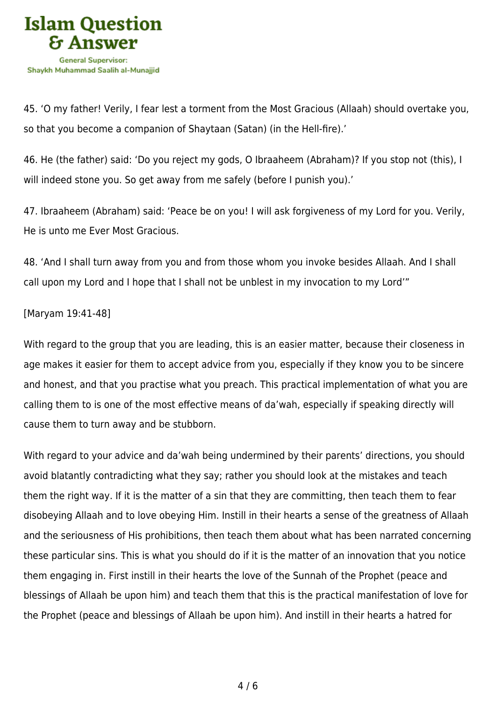

45. 'O my father! Verily, I fear lest a torment from the Most Gracious (Allaah) should overtake you, so that you become a companion of Shaytaan (Satan) (in the Hell-fire).'

46. He (the father) said: 'Do you reject my gods, O Ibraaheem (Abraham)? If you stop not (this), I will indeed stone you. So get away from me safely (before I punish you).'

47. Ibraaheem (Abraham) said: 'Peace be on you! I will ask forgiveness of my Lord for you. Verily, He is unto me Ever Most Gracious.

48. 'And I shall turn away from you and from those whom you invoke besides Allaah. And I shall call upon my Lord and I hope that I shall not be unblest in my invocation to my Lord'"

[Maryam 19:41-48]

With regard to the group that you are leading, this is an easier matter, because their closeness in age makes it easier for them to accept advice from you, especially if they know you to be sincere and honest, and that you practise what you preach. This practical implementation of what you are calling them to is one of the most effective means of da'wah, especially if speaking directly will cause them to turn away and be stubborn.

With regard to your advice and da'wah being undermined by their parents' directions, you should avoid blatantly contradicting what they say; rather you should look at the mistakes and teach them the right way. If it is the matter of a sin that they are committing, then teach them to fear disobeying Allaah and to love obeying Him. Instill in their hearts a sense of the greatness of Allaah and the seriousness of His prohibitions, then teach them about what has been narrated concerning these particular sins. This is what you should do if it is the matter of an innovation that you notice them engaging in. First instill in their hearts the love of the Sunnah of the Prophet (peace and blessings of Allaah be upon him) and teach them that this is the practical manifestation of love for the Prophet (peace and blessings of Allaah be upon him). And instill in their hearts a hatred for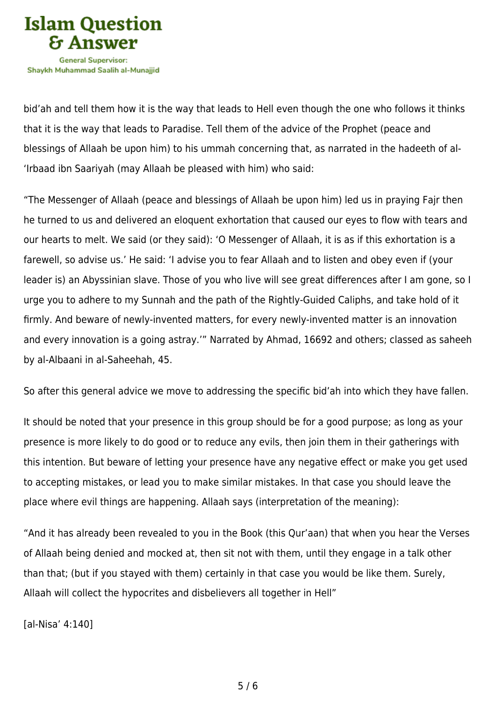

bid'ah and tell them how it is the way that leads to Hell even though the one who follows it thinks that it is the way that leads to Paradise. Tell them of the advice of the Prophet (peace and blessings of Allaah be upon him) to his ummah concerning that, as narrated in the hadeeth of al- 'Irbaad ibn Saariyah (may Allaah be pleased with him) who said:

"The Messenger of Allaah (peace and blessings of Allaah be upon him) led us in praying Fajr then he turned to us and delivered an eloquent exhortation that caused our eyes to flow with tears and our hearts to melt. We said (or they said): 'O Messenger of Allaah, it is as if this exhortation is a farewell, so advise us.' He said: 'I advise you to fear Allaah and to listen and obey even if (your leader is) an Abyssinian slave. Those of you who live will see great differences after I am gone, so I urge you to adhere to my Sunnah and the path of the Rightly-Guided Caliphs, and take hold of it firmly. And beware of newly-invented matters, for every newly-invented matter is an innovation and every innovation is a going astray.'" Narrated by Ahmad, 16692 and others; classed as saheeh by al-Albaani in al-Saheehah, 45.

So after this general advice we move to addressing the specific bid'ah into which they have fallen.

It should be noted that your presence in this group should be for a good purpose; as long as your presence is more likely to do good or to reduce any evils, then join them in their gatherings with this intention. But beware of letting your presence have any negative effect or make you get used to accepting mistakes, or lead you to make similar mistakes. In that case you should leave the place where evil things are happening. Allaah says (interpretation of the meaning):

"And it has already been revealed to you in the Book (this Qur'aan) that when you hear the Verses of Allaah being denied and mocked at, then sit not with them, until they engage in a talk other than that; (but if you stayed with them) certainly in that case you would be like them. Surely, Allaah will collect the hypocrites and disbelievers all together in Hell"

[al-Nisa' 4:140]